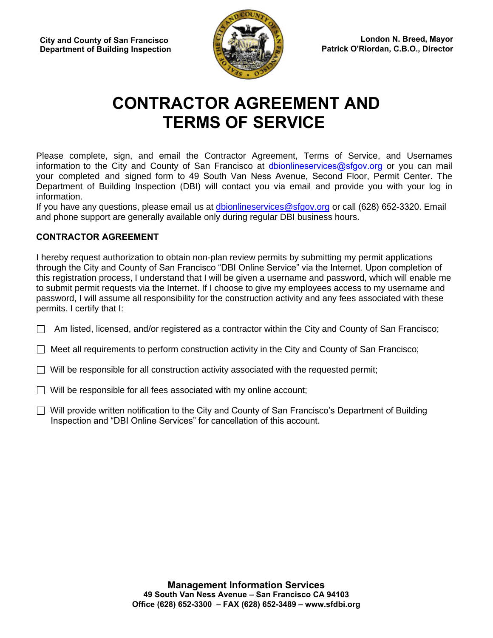

# **CONTRACTOR AGREEMENT AND TERMS OF SERVICE**

Please complete, sign, and email the Contractor Agreement, Terms of Service, and Usernames information to the City and County of San Francisco at dbionlineservices@sfgov.org or you can mail your completed and signed form to 49 South Van Ness Avenue, Second Floor, Permit Center. The Department of Building Inspection (DBI) will contact you via email and provide you with your log in information.

If you have any questions, please email us a[t dbionlineservices@sfgov.org](mailto:dbionlineservices@sfgov.org) or call (628) 652-3320. Email and phone support are generally available only during regular DBI business hours.

# **CONTRACTOR AGREEMENT**

I hereby request authorization to obtain non-plan review permits by submitting my permit applications through the City and County of San Francisco "DBI Online Service" via the Internet. Upon completion of this registration process, I understand that I will be given a username and password, which will enable me to submit permit requests via the Internet. If I choose to give my employees access to my username and password, I will assume all responsibility for the construction activity and any fees associated with these permits. I certify that I:

 $\Box$  Am listed, licensed, and/or registered as a contractor within the City and County of San Francisco;

 $\Box$  Meet all requirements to perform construction activity in the City and County of San Francisco;

 $\Box$  Will be responsible for all construction activity associated with the requested permit;

 $\Box$  Will be responsible for all fees associated with my online account;

 $\Box$  Will provide written notification to the City and County of San Francisco's Department of Building Inspection and "DBI Online Services" for cancellation of this account.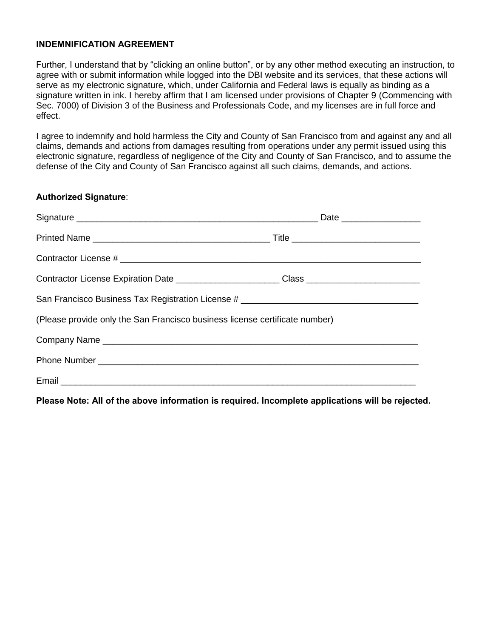#### **INDEMNIFICATION AGREEMENT**

Further, I understand that by "clicking an online button", or by any other method executing an instruction, to agree with or submit information while logged into the DBI website and its services, that these actions will serve as my electronic signature, which, under California and Federal laws is equally as binding as a signature written in ink. I hereby affirm that I am licensed under provisions of Chapter 9 (Commencing with Sec. 7000) of Division 3 of the Business and Professionals Code, and my licenses are in full force and effect.

I agree to indemnify and hold harmless the City and County of San Francisco from and against any and all claims, demands and actions from damages resulting from operations under any permit issued using this electronic signature, regardless of negligence of the City and County of San Francisco, and to assume the defense of the City and County of San Francisco against all such claims, demands, and actions.

#### **Authorized Signature**:

| Contractor License Expiration Date _______________________Class ________________                                                                                                                                               |  |  |  |
|--------------------------------------------------------------------------------------------------------------------------------------------------------------------------------------------------------------------------------|--|--|--|
| San Francisco Business Tax Registration License # ______________________________                                                                                                                                               |  |  |  |
| (Please provide only the San Francisco business license certificate number)                                                                                                                                                    |  |  |  |
|                                                                                                                                                                                                                                |  |  |  |
| Phone Number Law and Contract and Contract and Contract and Contract and Contract and Contract and Contract and Contract and Contract and Contract and Contract and Contract and Contract and Contract and Contract and Contra |  |  |  |
|                                                                                                                                                                                                                                |  |  |  |

**Please Note: All of the above information is required. Incomplete applications will be rejected.**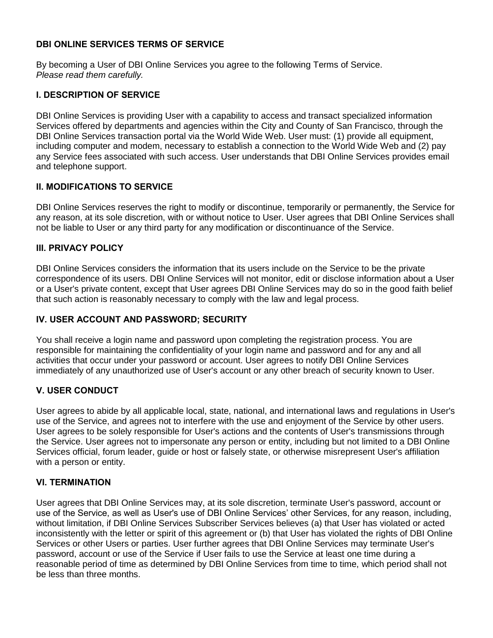## **DBI ONLINE SERVICES TERMS OF SERVICE**

By becoming a User of DBI Online Services you agree to the following Terms of Service. *Please read them carefully.* 

#### **I. DESCRIPTION OF SERVICE**

DBI Online Services is providing User with a capability to access and transact specialized information Services offered by departments and agencies within the City and County of San Francisco, through the DBI Online Services transaction portal via the World Wide Web. User must: (1) provide all equipment, including computer and modem, necessary to establish a connection to the World Wide Web and (2) pay any Service fees associated with such access. User understands that DBI Online Services provides email and telephone support.

## **II. MODIFICATIONS TO SERVICE**

DBI Online Services reserves the right to modify or discontinue, temporarily or permanently, the Service for any reason, at its sole discretion, with or without notice to User. User agrees that DBI Online Services shall not be liable to User or any third party for any modification or discontinuance of the Service.

## **III. PRIVACY POLICY**

DBI Online Services considers the information that its users include on the Service to be the private correspondence of its users. DBI Online Services will not monitor, edit or disclose information about a User or a User's private content, except that User agrees DBI Online Services may do so in the good faith belief that such action is reasonably necessary to comply with the law and legal process.

# **IV. USER ACCOUNT AND PASSWORD; SECURITY**

You shall receive a login name and password upon completing the registration process. You are responsible for maintaining the confidentiality of your login name and password and for any and all activities that occur under your password or account. User agrees to notify DBI Online Services immediately of any unauthorized use of User's account or any other breach of security known to User.

# **V. USER CONDUCT**

User agrees to abide by all applicable local, state, national, and international laws and regulations in User's use of the Service, and agrees not to interfere with the use and enjoyment of the Service by other users. User agrees to be solely responsible for User's actions and the contents of User's transmissions through the Service. User agrees not to impersonate any person or entity, including but not limited to a DBI Online Services official, forum leader, guide or host or falsely state, or otherwise misrepresent User's affiliation with a person or entity.

#### **VI. TERMINATION**

User agrees that DBI Online Services may, at its sole discretion, terminate User's password, account or use of the Service, as well as User's use of DBI Online Services' other Services, for any reason, including, without limitation, if DBI Online Services Subscriber Services believes (a) that User has violated or acted inconsistently with the letter or spirit of this agreement or (b) that User has violated the rights of DBI Online Services or other Users or parties. User further agrees that DBI Online Services may terminate User's password, account or use of the Service if User fails to use the Service at least one time during a reasonable period of time as determined by DBI Online Services from time to time, which period shall not be less than three months.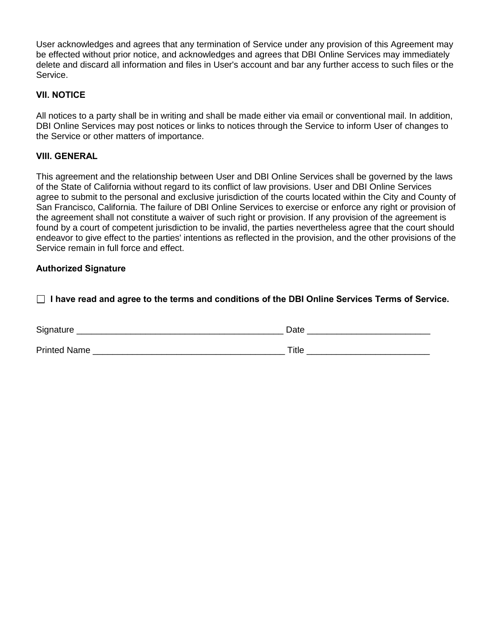User acknowledges and agrees that any termination of Service under any provision of this Agreement may be effected without prior notice, and acknowledges and agrees that DBI Online Services may immediately delete and discard all information and files in User's account and bar any further access to such files or the Service.

## **VII. NOTICE**

All notices to a party shall be in writing and shall be made either via email or conventional mail. In addition, DBI Online Services may post notices or links to notices through the Service to inform User of changes to the Service or other matters of importance.

#### **VIII. GENERAL**

This agreement and the relationship between User and DBI Online Services shall be governed by the laws of the State of California without regard to its conflict of law provisions. User and DBI Online Services agree to submit to the personal and exclusive jurisdiction of the courts located within the City and County of San Francisco, California. The failure of DBI Online Services to exercise or enforce any right or provision of the agreement shall not constitute a waiver of such right or provision. If any provision of the agreement is found by a court of competent jurisdiction to be invalid, the parties nevertheless agree that the court should endeavor to give effect to the parties' intentions as reflected in the provision, and the other provisions of the Service remain in full force and effect.

#### **Authorized Signature**

 **I have read and agree to the terms and conditions of the DBI Online Services Terms of Service.** 

| Signature    | Date  |
|--------------|-------|
| Printed Name | Title |